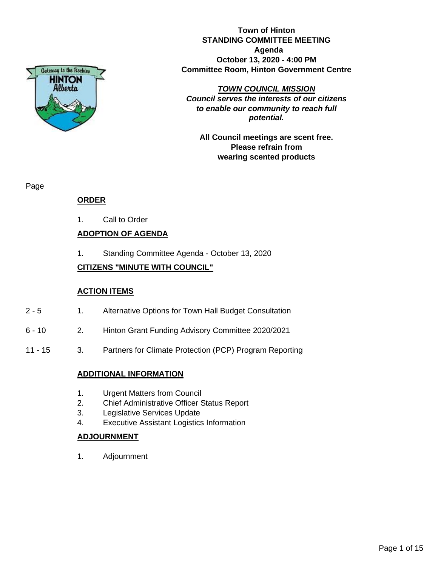

**Town of Hinton STANDING COMMITTEE MEETING Agenda October 13, 2020 - 4:00 PM Committee Room, Hinton Government Centre**

## *TOWN COUNCIL MISSION*

*Council serves the interests of our citizens to enable our community to reach full potential.*

**All Council meetings are scent free. Please refrain from wearing scented products**

Page

## **ORDER**

1. Call to Order

## **ADOPTION OF AGENDA**

1. Standing Committee Agenda - October 13, 2020

## **CITIZENS "MINUTE WITH COUNCIL"**

## **ACTION ITEMS**

- 2 5 1. Alternative Options for Town Hall Budget Consultation
- 6 10 2. Hinton Grant Funding Advisory Committee 2020/2021
- 11 15 3. Partners for Climate Protection (PCP) Program Reporting

## **ADDITIONAL INFORMATION**

- 1. Urgent Matters from Council
- 2. Chief Administrative Officer Status Report
- 3. Legislative Services Update
- 4. Executive Assistant Logistics Information

## **ADJOURNMENT**

1. Adjournment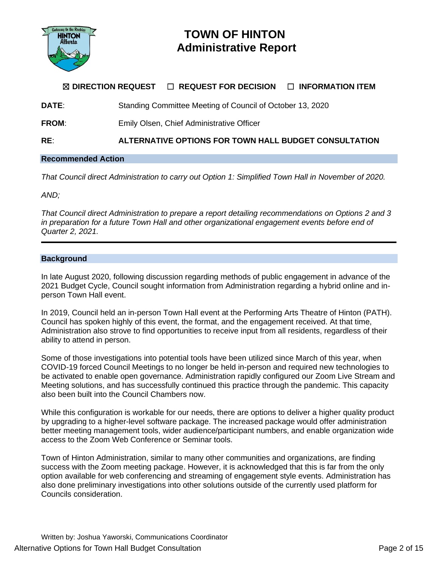

# **TOWN OF HINTON Administrative Report**

# ☒ **DIRECTION REQUEST** ☐ **REQUEST FOR DECISION** ☐ **INFORMATION ITEM**

**DATE:** Standing Committee Meeting of Council of October 13, 2020

**FROM:** Emily Olsen, Chief Administrative Officer

**RE**: **ALTERNATIVE OPTIONS FOR TOWN HALL BUDGET CONSULTATION**

## **Recommended Action**

*That Council direct Administration to carry out Option 1: Simplified Town Hall in November of 2020.*

*AND;*

*That Council direct Administration to prepare a report detailing recommendations on Options 2 and 3 in preparation for a future Town Hall and other organizational engagement events before end of Quarter 2, 2021.*

## **Background**

In late August 2020, following discussion regarding methods of public engagement in advance of the 2021 Budget Cycle, Council sought information from Administration regarding a hybrid online and inperson Town Hall event.

In 2019, Council held an in-person Town Hall event at the Performing Arts Theatre of Hinton (PATH). Council has spoken highly of this event, the format, and the engagement received. At that time, Administration also strove to find opportunities to receive input from all residents, regardless of their ability to attend in person.

Some of those investigations into potential tools have been utilized since March of this year, when COVID-19 forced Council Meetings to no longer be held in-person and required new technologies to be activated to enable open governance. Administration rapidly configured our Zoom Live Stream and Meeting solutions, and has successfully continued this practice through the pandemic. This capacity also been built into the Council Chambers now.

While this configuration is workable for our needs, there are options to deliver a higher quality product by upgrading to a higher-level software package. The increased package would offer administration better meeting management tools, wider audience/participant numbers, and enable organization wide access to the Zoom Web Conference or Seminar tools.

Town of Hinton Administration, similar to many other communities and organizations, are finding success with the Zoom meeting package. However, it is acknowledged that this is far from the only option available for web conferencing and streaming of engagement style events. Administration has also done preliminary investigations into other solutions outside of the currently used platform for Councils consideration.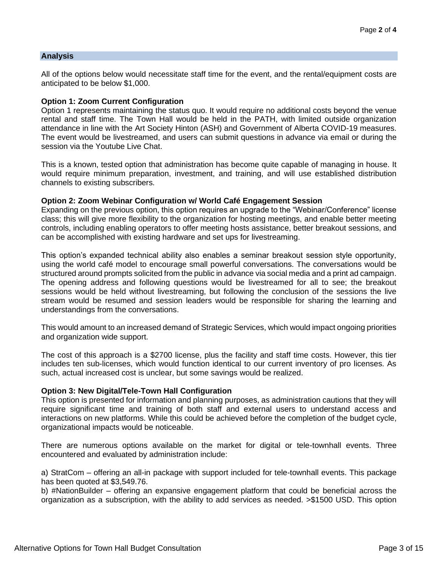## **Analysis**

All of the options below would necessitate staff time for the event, and the rental/equipment costs are anticipated to be below \$1,000.

## **Option 1: Zoom Current Configuration**

Option 1 represents maintaining the status quo. It would require no additional costs beyond the venue rental and staff time. The Town Hall would be held in the PATH, with limited outside organization attendance in line with the Art Society Hinton (ASH) and Government of Alberta COVID-19 measures. The event would be livestreamed, and users can submit questions in advance via email or during the session via the Youtube Live Chat.

This is a known, tested option that administration has become quite capable of managing in house. It would require minimum preparation, investment, and training, and will use established distribution channels to existing subscribers.

## **Option 2: Zoom Webinar Configuration w/ World Café Engagement Session**

Expanding on the previous option, this option requires an upgrade to the "Webinar/Conference" license class; this will give more flexibility to the organization for hosting meetings, and enable better meeting controls, including enabling operators to offer meeting hosts assistance, better breakout sessions, and can be accomplished with existing hardware and set ups for livestreaming.

This option's expanded technical ability also enables a seminar breakout session style opportunity, using the world café model to encourage small powerful conversations. The conversations would be structured around prompts solicited from the public in advance via social media and a print ad campaign. The opening address and following questions would be livestreamed for all to see; the breakout sessions would be held without livestreaming, but following the conclusion of the sessions the live stream would be resumed and session leaders would be responsible for sharing the learning and understandings from the conversations.

This would amount to an increased demand of Strategic Services, which would impact ongoing priorities and organization wide support.

The cost of this approach is a \$2700 license, plus the facility and staff time costs. However, this tier includes ten sub-licenses, which would function identical to our current inventory of pro licenses. As such, actual increased cost is unclear, but some savings would be realized.

## **Option 3: New Digital/Tele-Town Hall Configuration**

This option is presented for information and planning purposes, as administration cautions that they will require significant time and training of both staff and external users to understand access and interactions on new platforms. While this could be achieved before the completion of the budget cycle, organizational impacts would be noticeable.

There are numerous options available on the market for digital or tele-townhall events. Three encountered and evaluated by administration include:

a) StratCom – offering an all-in package with support included for tele-townhall events. This package has been quoted at \$3,549.76.

b) #NationBuilder – offering an expansive engagement platform that could be beneficial across the organization as a subscription, with the ability to add services as needed. >\$1500 USD. This option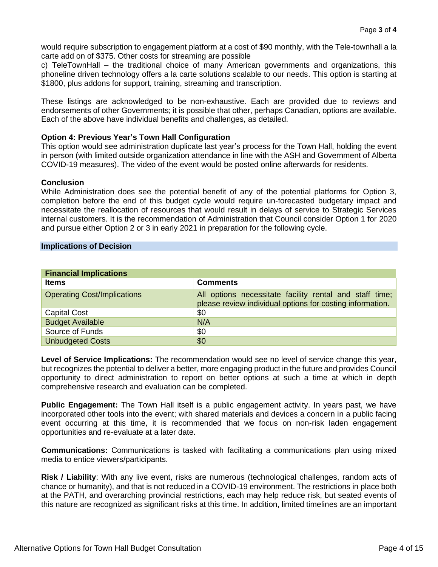would require subscription to engagement platform at a cost of \$90 monthly, with the Tele-townhall a la carte add on of \$375. Other costs for streaming are possible

c) TeleTownHall – the traditional choice of many American governments and organizations, this phoneline driven technology offers a la carte solutions scalable to our needs. This option is starting at \$1800, plus addons for support, training, streaming and transcription.

These listings are acknowledged to be non-exhaustive. Each are provided due to reviews and endorsements of other Governments; it is possible that other, perhaps Canadian, options are available. Each of the above have individual benefits and challenges, as detailed.

## **Option 4: Previous Year's Town Hall Configuration**

This option would see administration duplicate last year's process for the Town Hall, holding the event in person (with limited outside organization attendance in line with the ASH and Government of Alberta COVID-19 measures). The video of the event would be posted online afterwards for residents.

## **Conclusion**

While Administration does see the potential benefit of any of the potential platforms for Option 3, completion before the end of this budget cycle would require un-forecasted budgetary impact and necessitate the reallocation of resources that would result in delays of service to Strategic Services internal customers. It is the recommendation of Administration that Council consider Option 1 for 2020 and pursue either Option 2 or 3 in early 2021 in preparation for the following cycle.

## **Implications of Decision**

| <b>Financial Implications</b>      |                                                                                                                      |  |  |  |
|------------------------------------|----------------------------------------------------------------------------------------------------------------------|--|--|--|
| <b>Items</b>                       | <b>Comments</b>                                                                                                      |  |  |  |
| <b>Operating Cost/Implications</b> | All options necessitate facility rental and staff time;<br>please review individual options for costing information. |  |  |  |
| <b>Capital Cost</b>                | \$0                                                                                                                  |  |  |  |
| <b>Budget Available</b>            | N/A                                                                                                                  |  |  |  |
| Source of Funds                    | \$0                                                                                                                  |  |  |  |
| <b>Unbudgeted Costs</b>            | \$0                                                                                                                  |  |  |  |

**Level of Service Implications:** The recommendation would see no level of service change this year, but recognizes the potential to deliver a better, more engaging product in the future and provides Council opportunity to direct administration to report on better options at such a time at which in depth comprehensive research and evaluation can be completed.

**Public Engagement:** The Town Hall itself is a public engagement activity. In years past, we have incorporated other tools into the event; with shared materials and devices a concern in a public facing event occurring at this time, it is recommended that we focus on non-risk laden engagement opportunities and re-evaluate at a later date.

**Communications:** Communications is tasked with facilitating a communications plan using mixed media to entice viewers/participants.

**Risk / Liability**: With any live event, risks are numerous (technological challenges, random acts of chance or humanity), and that is not reduced in a COVID-19 environment. The restrictions in place both at the PATH, and overarching provincial restrictions, each may help reduce risk, but seated events of this nature are recognized as significant risks at this time. In addition, limited timelines are an important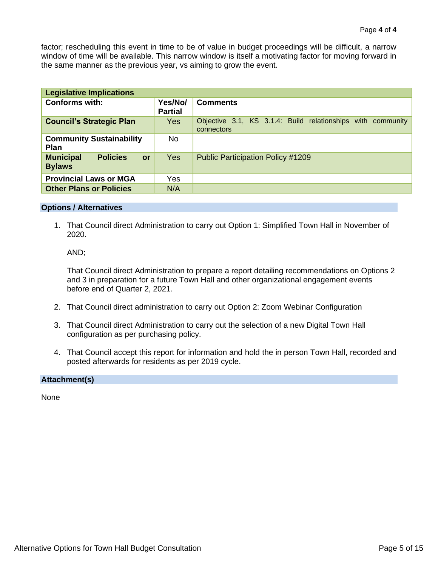factor; rescheduling this event in time to be of value in budget proceedings will be difficult, a narrow window of time will be available. This narrow window is itself a motivating factor for moving forward in the same manner as the previous year, vs aiming to grow the event.

| <b>Legislative Implications</b>                            |                           |                                                                           |  |  |  |  |
|------------------------------------------------------------|---------------------------|---------------------------------------------------------------------------|--|--|--|--|
| <b>Conforms with:</b>                                      | Yes/No/<br><b>Partial</b> | <b>Comments</b>                                                           |  |  |  |  |
| <b>Council's Strategic Plan</b>                            | <b>Yes</b>                | Objective 3.1, KS 3.1.4: Build relationships with community<br>connectors |  |  |  |  |
| <b>Community Sustainability</b><br><b>Plan</b>             | No.                       |                                                                           |  |  |  |  |
| <b>Municipal</b><br><b>Policies</b><br>or<br><b>Bylaws</b> | <b>Yes</b>                | <b>Public Participation Policy #1209</b>                                  |  |  |  |  |
| <b>Provincial Laws or MGA</b>                              | Yes                       |                                                                           |  |  |  |  |
| <b>Other Plans or Policies</b>                             | N/A                       |                                                                           |  |  |  |  |

## **Options / Alternatives**

1. That Council direct Administration to carry out Option 1: Simplified Town Hall in November of 2020.

AND;

That Council direct Administration to prepare a report detailing recommendations on Options 2 and 3 in preparation for a future Town Hall and other organizational engagement events before end of Quarter 2, 2021.

- 2. That Council direct administration to carry out Option 2: Zoom Webinar Configuration
- 3. That Council direct Administration to carry out the selection of a new Digital Town Hall configuration as per purchasing policy.
- 4. That Council accept this report for information and hold the in person Town Hall, recorded and posted afterwards for residents as per 2019 cycle.

## **Attachment(s)**

None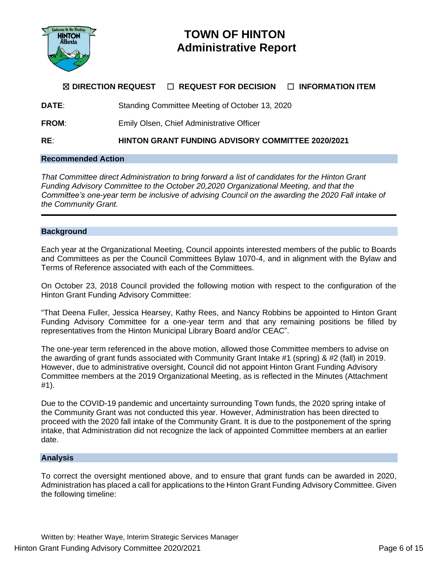

# **TOWN OF HINTON Administrative Report**

# ☒ **DIRECTION REQUEST** ☐ **REQUEST FOR DECISION** ☐ **INFORMATION ITEM**

**DATE**: Standing Committee Meeting of October 13, 2020

**FROM:** Emily Olsen, Chief Administrative Officer

**RE**: **HINTON GRANT FUNDING ADVISORY COMMITTEE 2020/2021**

## **Recommended Action**

*That Committee direct Administration to bring forward a list of candidates for the Hinton Grant Funding Advisory Committee to the October 20,2020 Organizational Meeting, and that the Committee's one-year term be inclusive of advising Council on the awarding the 2020 Fall intake of the Community Grant.* 

#### **Background**

Each year at the Organizational Meeting, Council appoints interested members of the public to Boards and Committees as per the Council Committees Bylaw 1070-4, and in alignment with the Bylaw and Terms of Reference associated with each of the Committees.

On October 23, 2018 Council provided the following motion with respect to the configuration of the Hinton Grant Funding Advisory Committee:

"That Deena Fuller, Jessica Hearsey, Kathy Rees, and Nancy Robbins be appointed to Hinton Grant Funding Advisory Committee for a one-year term and that any remaining positions be filled by representatives from the Hinton Municipal Library Board and/or CEAC".

The one-year term referenced in the above motion, allowed those Committee members to advise on the awarding of grant funds associated with Community Grant Intake #1 (spring) & #2 (fall) in 2019. However, due to administrative oversight, Council did not appoint Hinton Grant Funding Advisory Committee members at the 2019 Organizational Meeting, as is reflected in the Minutes (Attachment #1).

Due to the COVID-19 pandemic and uncertainty surrounding Town funds, the 2020 spring intake of the Community Grant was not conducted this year. However, Administration has been directed to proceed with the 2020 fall intake of the Community Grant. It is due to the postponement of the spring intake, that Administration did not recognize the lack of appointed Committee members at an earlier date.

## **Analysis**

To correct the oversight mentioned above, and to ensure that grant funds can be awarded in 2020, Administration has placed a call for applications to the Hinton Grant Funding Advisory Committee. Given the following timeline: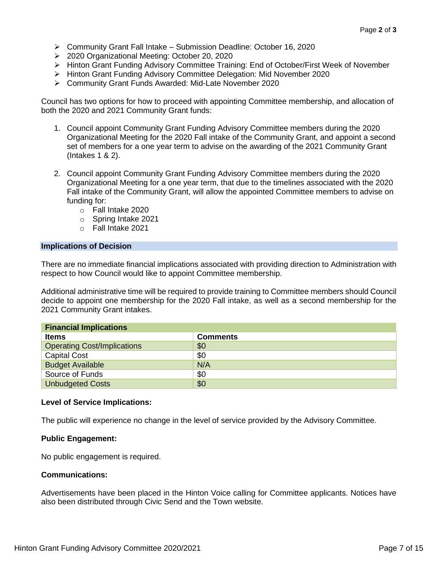- ➢ Community Grant Fall Intake Submission Deadline: October 16, 2020
- ➢ 2020 Organizational Meeting: October 20, 2020
- ➢ Hinton Grant Funding Advisory Committee Training: End of October/First Week of November
- ➢ Hinton Grant Funding Advisory Committee Delegation: Mid November 2020
- ➢ Community Grant Funds Awarded: Mid-Late November 2020

Council has two options for how to proceed with appointing Committee membership, and allocation of both the 2020 and 2021 Community Grant funds:

- 1. Council appoint Community Grant Funding Advisory Committee members during the 2020 Organizational Meeting for the 2020 Fall intake of the Community Grant, and appoint a second set of members for a one year term to advise on the awarding of the 2021 Community Grant (Intakes 1 & 2).
- 2. Council appoint Community Grant Funding Advisory Committee members during the 2020 Organizational Meeting for a one year term, that due to the timelines associated with the 2020 Fall intake of the Community Grant, will allow the appointed Committee members to advise on funding for:
	- o Fall Intake 2020
	- o Spring Intake 2021
	- o Fall Intake 2021

## **Implications of Decision**

There are no immediate financial implications associated with providing direction to Administration with respect to how Council would like to appoint Committee membership.

Additional administrative time will be required to provide training to Committee members should Council decide to appoint one membership for the 2020 Fall intake, as well as a second membership for the 2021 Community Grant intakes.

| <b>Financial Implications</b>      |                 |  |  |
|------------------------------------|-----------------|--|--|
| <b>Items</b>                       | <b>Comments</b> |  |  |
| <b>Operating Cost/Implications</b> | \$0             |  |  |
| <b>Capital Cost</b>                | \$0             |  |  |
| <b>Budget Available</b>            | N/A             |  |  |
| Source of Funds                    | \$0             |  |  |
| <b>Unbudgeted Costs</b>            | \$0             |  |  |

## **Level of Service Implications:**

The public will experience no change in the level of service provided by the Advisory Committee.

## **Public Engagement:**

No public engagement is required.

## **Communications:**

Advertisements have been placed in the Hinton Voice calling for Committee applicants. Notices have also been distributed through Civic Send and the Town website.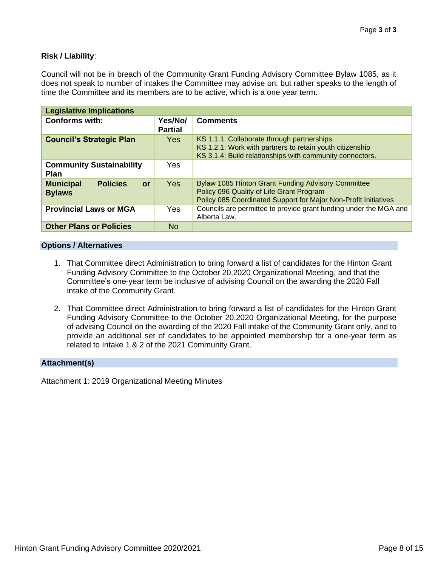## **Risk / Liability**:

Council will not be in breach of the Community Grant Funding Advisory Committee Bylaw 1085, as it does not speak to number of intakes the Committee may advise on, but rather speaks to the length of time the Committee and its members are to be active, which is a one year term.

| <b>Legislative Implications</b>                            |                           |                                                                                                                                                                          |
|------------------------------------------------------------|---------------------------|--------------------------------------------------------------------------------------------------------------------------------------------------------------------------|
| <b>Conforms with:</b>                                      | Yes/No/<br><b>Partial</b> | <b>Comments</b>                                                                                                                                                          |
| <b>Council's Strategic Plan</b>                            | Yes.                      | KS 1.1.1: Collaborate through partnerships.<br>KS 1.2.1: Work with partners to retain youth citizenship<br>KS 3.1.4: Build relationships with community connectors.      |
| <b>Community Sustainability</b><br><b>Plan</b>             | Yes                       |                                                                                                                                                                          |
| <b>Policies</b><br><b>Municipal</b><br>or<br><b>Bylaws</b> | <b>Yes</b>                | <b>Bylaw 1085 Hinton Grant Funding Advisory Committee</b><br>Policy 096 Quality of Life Grant Program<br>Policy 085 Coordinated Support for Major Non-Profit Initiatives |
| <b>Provincial Laws or MGA</b>                              | Yes                       | Councils are permitted to provide grant funding under the MGA and<br>Alberta Law.                                                                                        |
| <b>Other Plans or Policies</b>                             | <b>No</b>                 |                                                                                                                                                                          |

## **Options / Alternatives**

- 1. That Committee direct Administration to bring forward a list of candidates for the Hinton Grant Funding Advisory Committee to the October 20,2020 Organizational Meeting, and that the Committee's one-year term be inclusive of advising Council on the awarding the 2020 Fall intake of the Community Grant.
- 2. That Committee direct Administration to bring forward a list of candidates for the Hinton Grant Funding Advisory Committee to the October 20,2020 Organizational Meeting, for the purpose of advising Council on the awarding of the 2020 Fall intake of the Community Grant only, and to provide an additional set of candidates to be appointed membership for a one-year term as related to Intake 1 & 2 of the 2021 Community Grant.

## **Attachment(s)**

Attachment 1: 2019 Organizational Meeting Minutes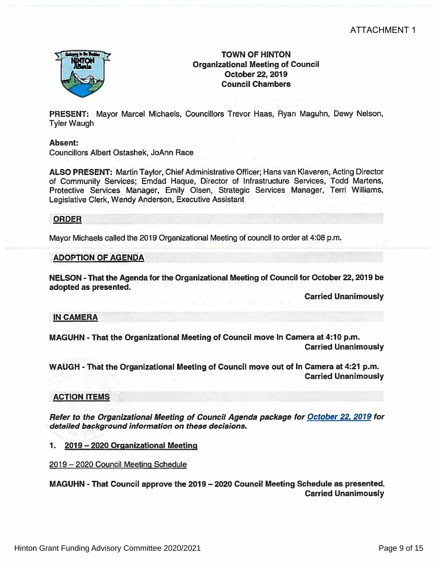

## **TOWN OF HINTON Organizational Meeting of Council** October 22, 2019 **Council Chambers**

PRESENT: Mayor Marcel Michaels, Councillors Trevor Haas, Ryan Maguhn, Dewy Nelson, **Tyler Waugh** 

## Absent:

**Councillors Albert Ostashek, JoAnn Race** 

ALSO PRESENT: Martin Taylor, Chief Administrative Officer; Hans van Klaveren, Acting Director of Community Services; Emdad Haque, Director of Infrastructure Services, Todd Martens, Protective Services Manager, Emily Olsen, Strategic Services Manager, Terri Williams, Legislative Clerk, Wendy Anderson, Executive Assistant

## **ORDER**

Mayor Michaels called the 2019 Organizational Meeting of council to order at 4:08 p.m.

## **ADOPTION OF AGENDA**

NELSON - That the Agenda for the Organizational Meeting of Council for October 22, 2019 be adopted as presented.

**Carried Unanimously** 

## **IN CAMERA**

MAGUHN - That the Organizational Meeting of Council move In Camera at 4:10 p.m. **Carried Unanimously** 

WAUGH - That the Organizational Meeting of Council move out of In Camera at 4:21 p.m. **Carried Unanimously** 

## **ACTION ITEMS**

Refer to the Organizational Meeting of Council Agenda package for October 22, 2019 for detailed background information on these decisions.

1. 2019 - 2020 Organizational Meeting

2019 – 2020 Council Meeting Schedule

MAGUHN - That Council approve the 2019 - 2020 Council Meeting Schedule as presented. **Carried Unanimously**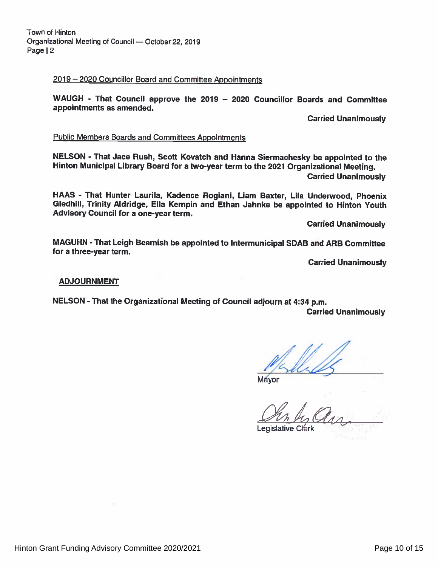# 2019 - 2020 Councillor Board and Committee Appointments

WAUGH - That Council approve the 2019 - 2020 Councillor Boards and Committee appointments as amended.

**Carried Unanimously** 

# **Public Members Boards and Committees Appointments**

NELSON - That Jace Rush, Scott Kovatch and Hanna Siermachesky be appointed to the Hinton Municipal Library Board for a two-year term to the 2021 Organizational Meeting. **Carried Unanimously** 

HAAS - That Hunter Laurila, Kadence Rogiani, Liam Baxter, Lila Underwood, Phoenix Gledhill, Trinity Aldridge, Ella Kempin and Ethan Jahnke be appointed to Hinton Youth Advisory Council for a one-year term.

**Carried Unanimously** 

MAGUHN - That Leigh Beamish be appointed to Intermunicipal SDAB and ARB Committee for a three-year term.

**Carried Unanimously** 

## **ADJOURNMENT**

NELSON - That the Organizational Meeting of Council adjourn at 4:34 p.m.

**Carried Unanimously** 

**Mayor** 

**Legislative Clerk**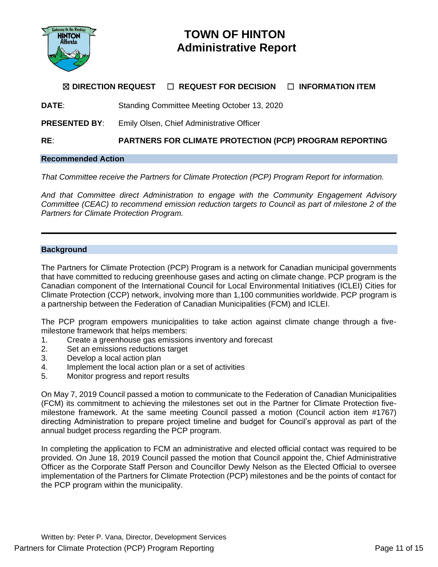

# **TOWN OF HINTON Administrative Report**

## ☒ **DIRECTION REQUEST** ☐ **REQUEST FOR DECISION** ☐ **INFORMATION ITEM**

**DATE**: Standing Committee Meeting October 13, 2020

**PRESENTED BY**: Emily Olsen, Chief Administrative Officer

**RE**: **PARTNERS FOR CLIMATE PROTECTION (PCP) PROGRAM REPORTING**

## **Recommended Action**

*That Committee receive the Partners for Climate Protection (PCP) Program Report for information.*

*And that Committee direct Administration to engage with the Community Engagement Advisory Committee (CEAC) to recommend emission reduction targets to Council as part of milestone 2 of the Partners for Climate Protection Program.*

## **Background**

The Partners for Climate Protection (PCP) Program is a network for Canadian municipal governments that have committed to reducing greenhouse gases and acting on climate change. PCP program is the Canadian component of the International Council for Local Environmental Initiatives (ICLEI) Cities for Climate Protection (CCP) network, involving more than 1,100 communities worldwide. PCP program is a partnership between the Federation of Canadian Municipalities (FCM) and ICLEI.

The PCP program empowers municipalities to take action against climate change through a fivemilestone framework that helps members:

- 1. Create a greenhouse gas emissions inventory and forecast
- 2. Set an emissions reductions target
- 3. Develop a local action plan
- 4. Implement the local action plan or a set of activities
- 5. Monitor progress and report results

On May 7, 2019 Council passed a motion to communicate to the Federation of Canadian Municipalities (FCM) its commitment to achieving the milestones set out in the Partner for Climate Protection fivemilestone framework. At the same meeting Council passed a motion (Council action item #1767) directing Administration to prepare project timeline and budget for Council's approval as part of the annual budget process regarding the PCP program.

In completing the application to FCM an administrative and elected official contact was required to be provided. On June 18, 2019 Council passed the motion that Council appoint the, Chief Administrative Officer as the Corporate Staff Person and Councillor Dewly Nelson as the Elected Official to oversee implementation of the Partners for Climate Protection (PCP) milestones and be the points of contact for the PCP program within the municipality.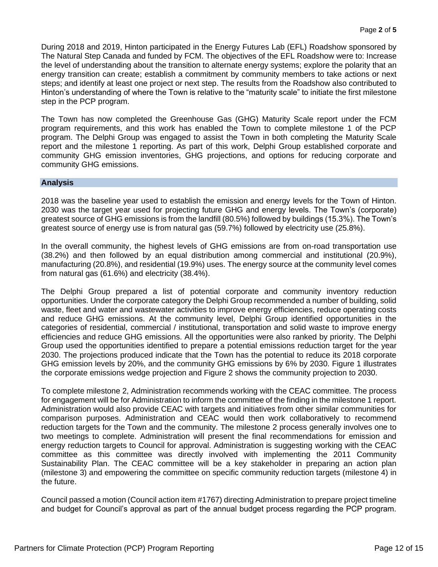During 2018 and 2019, Hinton participated in the Energy Futures Lab (EFL) Roadshow sponsored by The Natural Step Canada and funded by FCM. The objectives of the EFL Roadshow were to: Increase the level of understanding about the transition to alternate energy systems; explore the polarity that an energy transition can create; establish a commitment by community members to take actions or next steps; and identify at least one project or next step. The results from the Roadshow also contributed to Hinton's understanding of where the Town is relative to the "maturity scale" to initiate the first milestone step in the PCP program.

The Town has now completed the Greenhouse Gas (GHG) Maturity Scale report under the FCM program requirements, and this work has enabled the Town to complete milestone 1 of the PCP program. The Delphi Group was engaged to assist the Town in both completing the Maturity Scale report and the milestone 1 reporting. As part of this work, Delphi Group established corporate and community GHG emission inventories, GHG projections, and options for reducing corporate and community GHG emissions.

## **Analysis**

2018 was the baseline year used to establish the emission and energy levels for the Town of Hinton. 2030 was the target year used for projecting future GHG and energy levels. The Town's (corporate) greatest source of GHG emissions is from the landfill (80.5%) followed by buildings (15.3%). The Town's greatest source of energy use is from natural gas (59.7%) followed by electricity use (25.8%).

In the overall community, the highest levels of GHG emissions are from on-road transportation use (38.2%) and then followed by an equal distribution among commercial and institutional (20.9%), manufacturing (20.8%), and residential (19.9%) uses. The energy source at the community level comes from natural gas (61.6%) and electricity (38.4%).

The Delphi Group prepared a list of potential corporate and community inventory reduction opportunities. Under the corporate category the Delphi Group recommended a number of building, solid waste, fleet and water and wastewater activities to improve energy efficiencies, reduce operating costs and reduce GHG emissions. At the community level, Delphi Group identified opportunities in the categories of residential, commercial / institutional, transportation and solid waste to improve energy efficiencies and reduce GHG emissions. All the opportunities were also ranked by priority. The Delphi Group used the opportunities identified to prepare a potential emissions reduction target for the year 2030. The projections produced indicate that the Town has the potential to reduce its 2018 corporate GHG emission levels by 20%, and the community GHG emissions by 6% by 2030. Figure 1 illustrates the corporate emissions wedge projection and Figure 2 shows the community projection to 2030.

To complete milestone 2, Administration recommends working with the CEAC committee. The process for engagement will be for Administration to inform the committee of the finding in the milestone 1 report. Administration would also provide CEAC with targets and initiatives from other similar communities for comparison purposes. Administration and CEAC would then work collaboratively to recommend reduction targets for the Town and the community. The milestone 2 process generally involves one to two meetings to complete. Administration will present the final recommendations for emission and energy reduction targets to Council for approval. Administration is suggesting working with the CEAC committee as this committee was directly involved with implementing the 2011 Community Sustainability Plan. The CEAC committee will be a key stakeholder in preparing an action plan (milestone 3) and empowering the committee on specific community reduction targets (milestone 4) in the future.

Council passed a motion (Council action item #1767) directing Administration to prepare project timeline and budget for Council's approval as part of the annual budget process regarding the PCP program.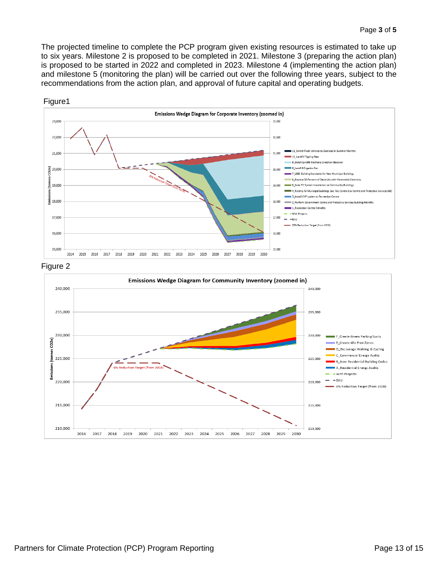The projected timeline to complete the PCP program given existing resources is estimated to take up to six years. Milestone 2 is proposed to be completed in 2021. Milestone 3 (preparing the action plan) is proposed to be started in 2022 and completed in 2023. Milestone 4 (implementing the action plan) and milestone 5 (monitoring the plan) will be carried out over the following three years, subject to the recommendations from the action plan, and approval of future capital and operating budgets.







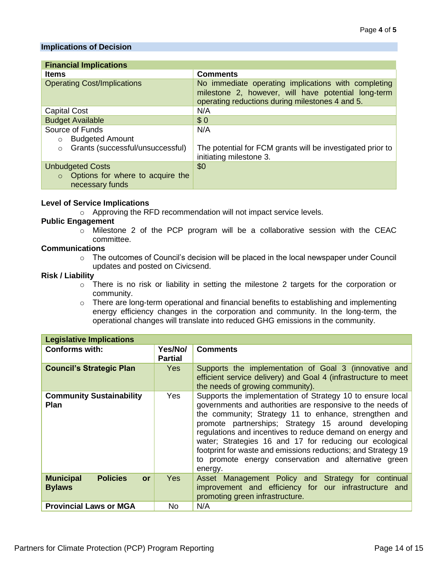## **Implications of Decision**

| <b>Financial Implications</b>                                   |                                                                                                                                                               |  |  |  |  |
|-----------------------------------------------------------------|---------------------------------------------------------------------------------------------------------------------------------------------------------------|--|--|--|--|
| <b>Items</b>                                                    | <b>Comments</b>                                                                                                                                               |  |  |  |  |
| <b>Operating Cost/Implications</b>                              | No immediate operating implications with completing<br>milestone 2, however, will have potential long-term<br>operating reductions during milestones 4 and 5. |  |  |  |  |
| <b>Capital Cost</b>                                             | N/A                                                                                                                                                           |  |  |  |  |
| <b>Budget Available</b>                                         | \$0                                                                                                                                                           |  |  |  |  |
| Source of Funds                                                 | N/A                                                                                                                                                           |  |  |  |  |
| <b>Budgeted Amount</b><br>$\circ$                               |                                                                                                                                                               |  |  |  |  |
| Grants (successful/unsuccessful)<br>$\circ$                     | The potential for FCM grants will be investigated prior to<br>initiating milestone 3.                                                                         |  |  |  |  |
| <b>Unbudgeted Costs</b>                                         | \$0                                                                                                                                                           |  |  |  |  |
| Options for where to acquire the<br>$\Omega$<br>necessary funds |                                                                                                                                                               |  |  |  |  |

## **Level of Service Implications**

o Approving the RFD recommendation will not impact service levels.

## **Public Engagement**

o Milestone 2 of the PCP program will be a collaborative session with the CEAC committee.

## **Communications**

o The outcomes of Council's decision will be placed in the local newspaper under Council updates and posted on Civicsend.

## **Risk / Liability**

- o There is no risk or liability in setting the milestone 2 targets for the corporation or community.
- o There are long-term operational and financial benefits to establishing and implementing energy efficiency changes in the corporation and community. In the long-term, the operational changes will translate into reduced GHG emissions in the community.

| <b>Legislative Implications</b>                            |                           |                                                                                                                                                                                                                                                                                                                                                                                                                                                                                                      |  |  |  |  |  |
|------------------------------------------------------------|---------------------------|------------------------------------------------------------------------------------------------------------------------------------------------------------------------------------------------------------------------------------------------------------------------------------------------------------------------------------------------------------------------------------------------------------------------------------------------------------------------------------------------------|--|--|--|--|--|
| <b>Conforms with:</b>                                      | Yes/No/<br><b>Partial</b> | <b>Comments</b>                                                                                                                                                                                                                                                                                                                                                                                                                                                                                      |  |  |  |  |  |
| <b>Council's Strategic Plan</b>                            | <b>Yes</b>                | Supports the implementation of Goal 3 (innovative and<br>efficient service delivery) and Goal 4 (infrastructure to meet<br>the needs of growing community).                                                                                                                                                                                                                                                                                                                                          |  |  |  |  |  |
| <b>Community Sustainability</b><br>Yes<br><b>Plan</b>      |                           | Supports the implementation of Strategy 10 to ensure local<br>governments and authorities are responsive to the needs of<br>the community; Strategy 11 to enhance, strengthen and<br>promote partnerships; Strategy 15 around developing<br>regulations and incentives to reduce demand on energy and<br>water; Strategies 16 and 17 for reducing our ecological<br>footprint for waste and emissions reductions; and Strategy 19<br>to promote energy conservation and alternative green<br>energy. |  |  |  |  |  |
| <b>Municipal</b><br><b>Policies</b><br>or<br><b>Bylaws</b> | <b>Yes</b>                | Asset Management Policy and Strategy for continual<br>improvement and efficiency for our infrastructure and<br>promoting green infrastructure.                                                                                                                                                                                                                                                                                                                                                       |  |  |  |  |  |
| <b>Provincial Laws or MGA</b>                              | No                        | N/A                                                                                                                                                                                                                                                                                                                                                                                                                                                                                                  |  |  |  |  |  |